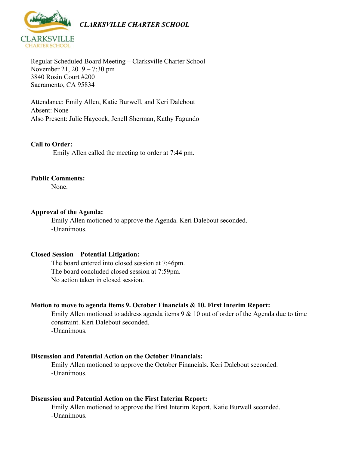

Regular Scheduled Board Meeting – Clarksville Charter School November 21, 2019 – 7:30 pm 3840 Rosin Court #200 Sacramento, CA 95834

Attendance: Emily Allen, Katie Burwell, and Keri Dalebout Absent: None Also Present: Julie Haycock, Jenell Sherman, Kathy Fagundo

### **Call to Order:**

Emily Allen called the meeting to order at 7:44 pm.

### **Public Comments:**

None.

### **Approval of the Agenda:**

Emily Allen motioned to approve the Agenda. Keri Dalebout seconded. -Unanimous.

### **Closed Session – Potential Litigation:**

The board entered into closed session at 7:46pm. The board concluded closed session at 7:59pm. No action taken in closed session.

### **Motion to move to agenda items 9. October Financials & 10. First Interim Report:**

Emily Allen motioned to address agenda items 9 & 10 out of order of the Agenda due to time constraint. Keri Dalebout seconded. -Unanimous.

### **Discussion and Potential Action on the October Financials:**

Emily Allen motioned to approve the October Financials. Keri Dalebout seconded. -Unanimous.

### **Discussion and Potential Action on the First Interim Report:**

Emily Allen motioned to approve the First Interim Report. Katie Burwell seconded. -Unanimous.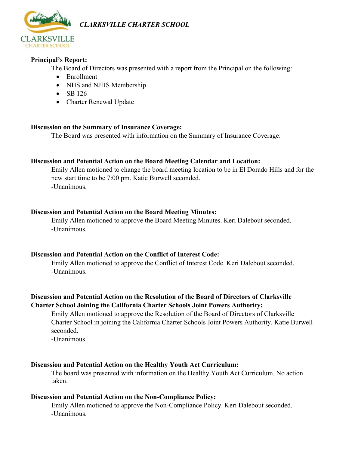

*CLARKSVILLE CHARTER SCHOOL*

# **Principal's Report:**

The Board of Directors was presented with a report from the Principal on the following:

- Enrollment
- NHS and NJHS Membership
- SB  $126$
- Charter Renewal Update

### **Discussion on the Summary of Insurance Coverage:**

The Board was presented with information on the Summary of Insurance Coverage.

# **Discussion and Potential Action on the Board Meeting Calendar and Location:**

Emily Allen motioned to change the board meeting location to be in El Dorado Hills and for the new start time to be 7:00 pm. Katie Burwell seconded. -Unanimous.

# **Discussion and Potential Action on the Board Meeting Minutes:**

Emily Allen motioned to approve the Board Meeting Minutes. Keri Dalebout seconded. -Unanimous.

### **Discussion and Potential Action on the Conflict of Interest Code:**

Emily Allen motioned to approve the Conflict of Interest Code. Keri Dalebout seconded. -Unanimous.

# **Discussion and Potential Action on the Resolution of the Board of Directors of Clarksville Charter School Joining the California Charter Schools Joint Powers Authority:**

Emily Allen motioned to approve the Resolution of the Board of Directors of Clarksville Charter School in joining the California Charter Schools Joint Powers Authority. Katie Burwell seconded.

-Unanimous.

# **Discussion and Potential Action on the Healthy Youth Act Curriculum:**

The board was presented with information on the Healthy Youth Act Curriculum. No action taken.

# **Discussion and Potential Action on the Non-Compliance Policy:**

Emily Allen motioned to approve the Non-Compliance Policy. Keri Dalebout seconded. -Unanimous.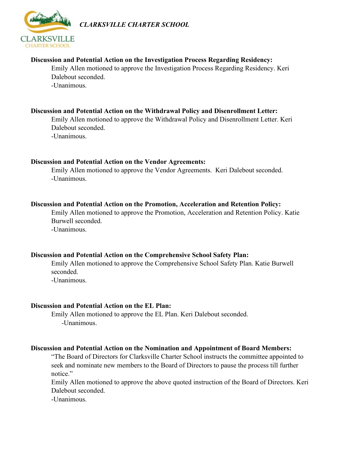

*CLARKSVILLE CHARTER SCHOOL*

### **Discussion and Potential Action on the Investigation Process Regarding Residency:**

Emily Allen motioned to approve the Investigation Process Regarding Residency. Keri Dalebout seconded. -Unanimous.

### **Discussion and Potential Action on the Withdrawal Policy and Disenrollment Letter:**

Emily Allen motioned to approve the Withdrawal Policy and Disenrollment Letter. Keri Dalebout seconded. -Unanimous.

### **Discussion and Potential Action on the Vendor Agreements:**

Emily Allen motioned to approve the Vendor Agreements. Keri Dalebout seconded. -Unanimous.

### **Discussion and Potential Action on the Promotion, Acceleration and Retention Policy:**

Emily Allen motioned to approve the Promotion, Acceleration and Retention Policy. Katie Burwell seconded.

-Unanimous.

### **Discussion and Potential Action on the Comprehensive School Safety Plan:**

Emily Allen motioned to approve the Comprehensive School Safety Plan. Katie Burwell seconded. -Unanimous.

# **Discussion and Potential Action on the EL Plan:**

Emily Allen motioned to approve the EL Plan. Keri Dalebout seconded. -Unanimous.

#### **Discussion and Potential Action on the Nomination and Appointment of Board Members:**

"The Board of Directors for Clarksville Charter School instructs the committee appointed to seek and nominate new members to the Board of Directors to pause the process till further notice."

Emily Allen motioned to approve the above quoted instruction of the Board of Directors. Keri Dalebout seconded.

-Unanimous.